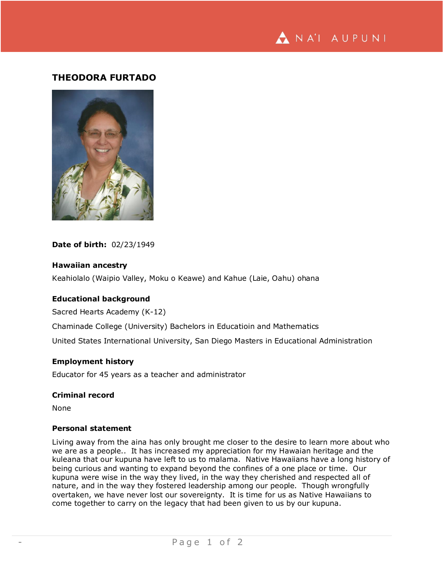NA'I AUPUNI

# **THEODORA FURTADO**



**Date of birth:** 02/23/1949

# **Hawaiian ancestry**

Keahiolalo (Waipio Valley, Moku o Keawe) and Kahue (Laie, Oahu) ohana

# **Educational background**

Sacred Hearts Academy (K-12)

Chaminade College (University) Bachelors in Educatioin and Mathematics

United States International University, San Diego Masters in Educational Administration

# **Employment history**

Educator for 45 years as a teacher and administrator

# **Criminal record**

None

#### **Personal statement**

Living away from the aina has only brought me closer to the desire to learn more about who we are as a people.. It has increased my appreciation for my Hawaian heritage and the kuleana that our kupuna have left to us to malama. Native Hawaiians have a long history of being curious and wanting to expand beyond the confines of a one place or time. Our kupuna were wise in the way they lived, in the way they cherished and respected all of nature, and in the way they fostered leadership among our people. Though wrongfully overtaken, we have never lost our sovereignty. It is time for us as Native Hawaiians to come together to carry on the legacy that had been given to us by our kupuna.